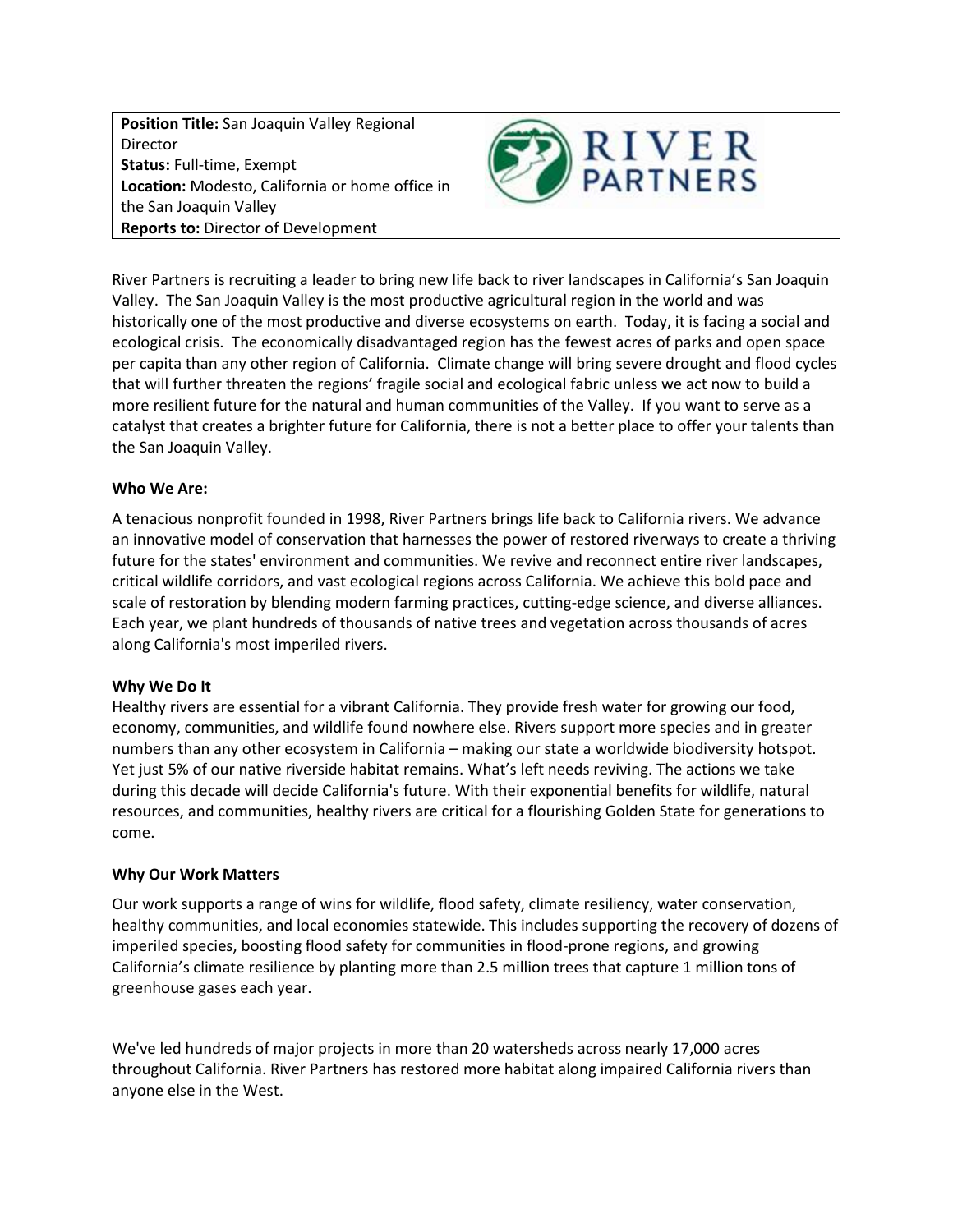**Position Title:** San Joaquin Valley Regional Director **Status:** Full-time, Exempt **Location:** Modesto, California or home office in the San Joaquin Valley **Reports to:** Director of Development



River Partners is recruiting a leader to bring new life back to river landscapes in California's San Joaquin Valley. The San Joaquin Valley is the most productive agricultural region in the world and was historically one of the most productive and diverse ecosystems on earth. Today, it is facing a social and ecological crisis. The economically disadvantaged region has the fewest acres of parks and open space per capita than any other region of California. Climate change will bring severe drought and flood cycles that will further threaten the regions' fragile social and ecological fabric unless we act now to build a more resilient future for the natural and human communities of the Valley. If you want to serve as a catalyst that creates a brighter future for California, there is not a better place to offer your talents than the San Joaquin Valley.

## **Who We Are:**

A tenacious nonprofit founded in 1998, River Partners brings life back to California rivers. We advance an innovative model of conservation that harnesses the power of restored riverways to create a thriving future for the states' environment and communities. We revive and reconnect entire river landscapes, critical wildlife corridors, and vast ecological regions across California. We achieve this bold pace and scale of restoration by blending modern farming practices, cutting-edge science, and diverse alliances. Each year, we plant hundreds of thousands of native trees and vegetation across thousands of acres along California's most imperiled rivers.

## **Why We Do It**

Healthy rivers are essential for a vibrant California. They provide fresh water for growing our food, economy, communities, and wildlife found nowhere else. Rivers support more species and in greater numbers than any other ecosystem in California – making our state a worldwide biodiversity hotspot. Yet just 5% of our native riverside habitat remains. What's left needs reviving. The actions we take during this decade will decide California's future. With their exponential benefits for wildlife, natural resources, and communities, healthy rivers are critical for a flourishing Golden State for generations to come.

# **Why Our Work Matters**

Our work supports a range of wins for wildlife, flood safety, climate resiliency, water conservation, healthy communities, and local economies statewide. This includes supporting the recovery of dozens of imperiled species, boosting flood safety for communities in flood-prone regions, and growing California's climate resilience by planting more than 2.5 million trees that capture 1 million tons of greenhouse gases each year.

We've led hundreds of major projects in more than 20 watersheds across nearly 17,000 acres throughout California. River Partners has restored more habitat along impaired California rivers than anyone else in the West.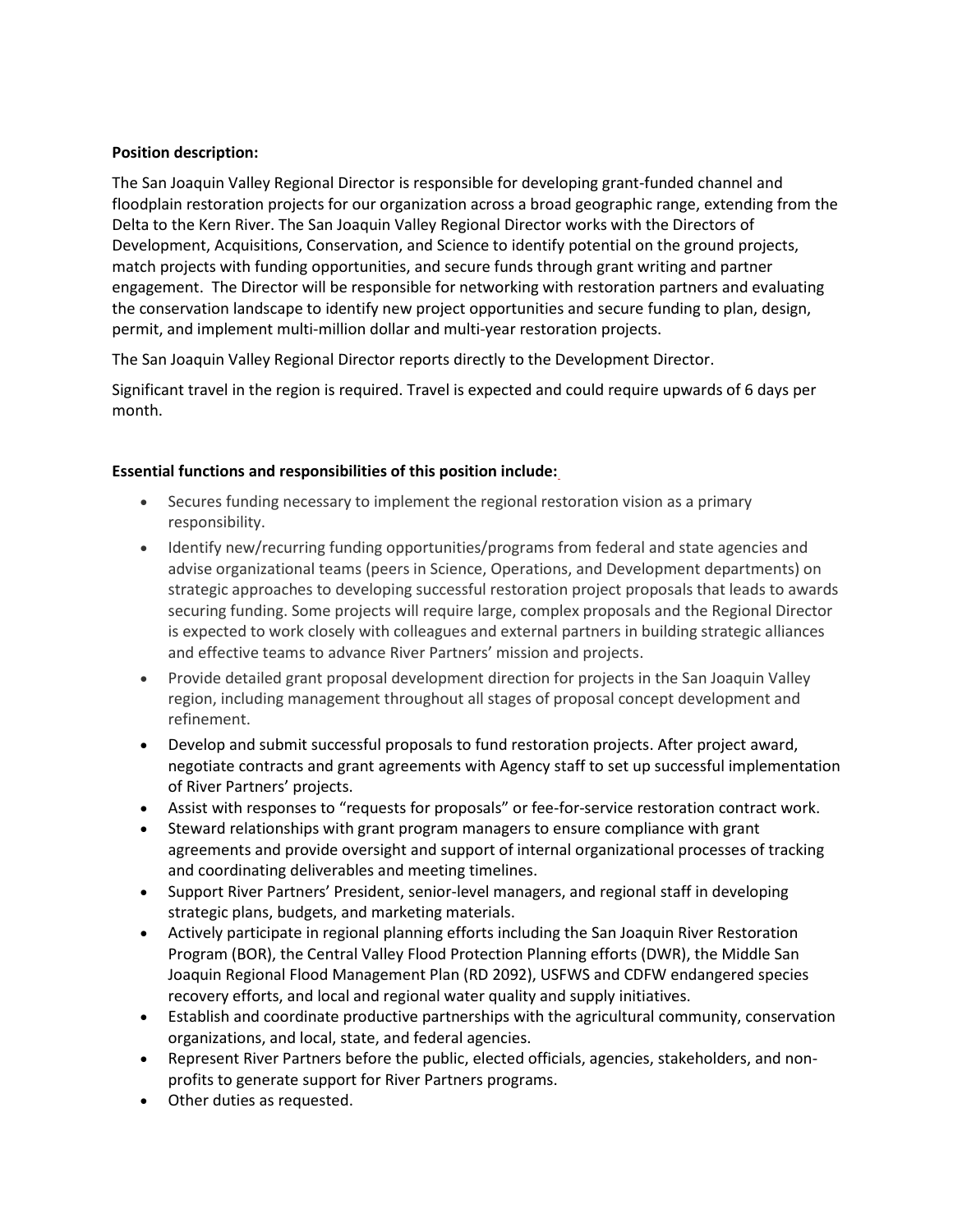## **Position description:**

The San Joaquin Valley Regional Director is responsible for developing grant-funded channel and floodplain restoration projects for our organization across a broad geographic range, extending from the Delta to the Kern River. The San Joaquin Valley Regional Director works with the Directors of Development, Acquisitions, Conservation, and Science to identify potential on the ground projects, match projects with funding opportunities, and secure funds through grant writing and partner engagement. The Director will be responsible for networking with restoration partners and evaluating the conservation landscape to identify new project opportunities and secure funding to plan, design, permit, and implement multi-million dollar and multi-year restoration projects.

The San Joaquin Valley Regional Director reports directly to the Development Director.

Significant travel in the region is required. Travel is expected and could require upwards of 6 days per month.

## **Essential functions and responsibilities of this position include:**

- Secures funding necessary to implement the regional restoration vision as a primary responsibility.
- Identify new/recurring funding opportunities/programs from federal and state agencies and advise organizational teams (peers in Science, Operations, and Development departments) on strategic approaches to developing successful restoration project proposals that leads to awards securing funding. Some projects will require large, complex proposals and the Regional Director is expected to work closely with colleagues and external partners in building strategic alliances and effective teams to advance River Partners' mission and projects.
- Provide detailed grant proposal development direction for projects in the San Joaquin Valley region, including management throughout all stages of proposal concept development and refinement.
- Develop and submit successful proposals to fund restoration projects. After project award, negotiate contracts and grant agreements with Agency staff to set up successful implementation of River Partners' projects.
- Assist with responses to "requests for proposals" or fee-for-service restoration contract work.
- Steward relationships with grant program managers to ensure compliance with grant agreements and provide oversight and support of internal organizational processes of tracking and coordinating deliverables and meeting timelines.
- Support River Partners' President, senior-level managers, and regional staff in developing strategic plans, budgets, and marketing materials.
- Actively participate in regional planning efforts including the San Joaquin River Restoration Program (BOR), the Central Valley Flood Protection Planning efforts (DWR), the Middle San Joaquin Regional Flood Management Plan (RD 2092), USFWS and CDFW endangered species recovery efforts, and local and regional water quality and supply initiatives.
- Establish and coordinate productive partnerships with the agricultural community, conservation organizations, and local, state, and federal agencies.
- Represent River Partners before the public, elected officials, agencies, stakeholders, and nonprofits to generate support for River Partners programs.
- Other duties as requested.